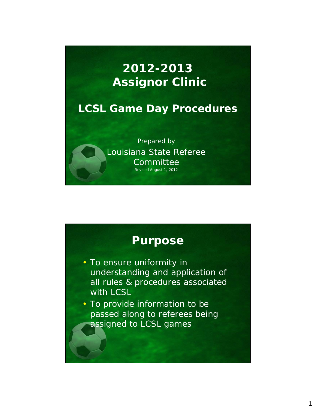# **2012-2013 Assignor Clinic**

## **LCSL Game Day Procedures**

Prepared by Louisiana State Referee **Committee** Revised August 1, 2012

## **Purpose**

• To ensure uniformity in understanding and application of all rules & procedures associated with LCSL

• To provide information to be passed along to referees being assigned to LCSL games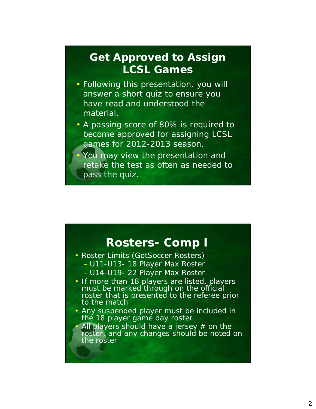## **Get Approved to Assign LCSL Games**

- Following this presentation, you will answer a short quiz to ensure you have read and understood the material.
- A passing score of 80% is required to become approved for assigning LCSL games for 2012-2013 season.
- You may view the presentation and retake the test as often as needed to pass the quiz.

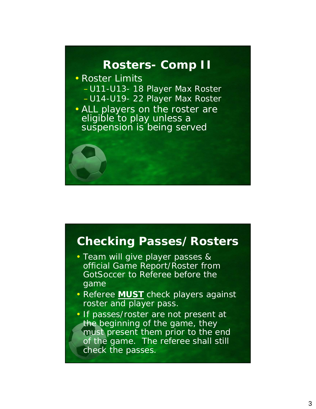### **Rosters- Comp II**

- Roster Limits –U11-U13- 18 Player Max Roster –U14-U19- 22 Player Max Roster
- ALL players on the roster are eligible to play unless a suspension is being served

### **Checking Passes/Rosters**

- Team will give player passes & official Game Report/Roster from GotSoccer to Referee before the game
- Referee *MUST* check players against roster and player pass.
- If passes/roster are not present at the beginning of the game, they must present them prior to the end of the game. The referee shall still check the passes.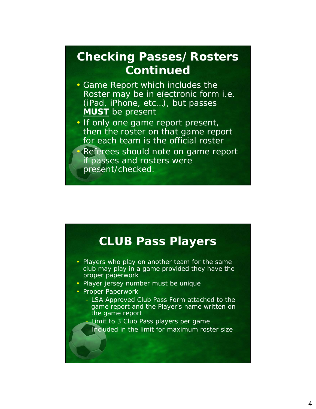# **Checking Passes/Rosters Continued**

- Game Report which includes the Roster may be in electronic form i.e. (iPad, iPhone, etc…), but passes *MUST* be present
- If only one game report present, then the roster on that game report for each team is the official roster • Referees should note on game report if passes and rosters were present/checked.

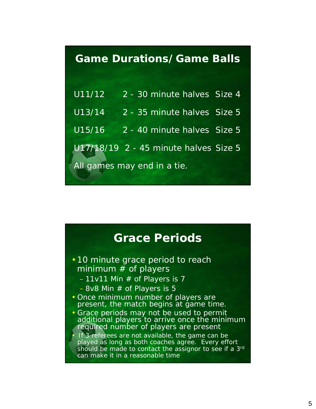### **Game Durations/Game Balls**

| U11/12                      | 2 - 30 minute halves Size 4           |  |
|-----------------------------|---------------------------------------|--|
| U13/14                      | 2 - 35 minute halves Size 5           |  |
| U15/16                      | 2 - 40 minute halves Size 5           |  |
|                             | U17/18/19 2 - 45 minute halves Size 5 |  |
| All games may end in a tie. |                                       |  |

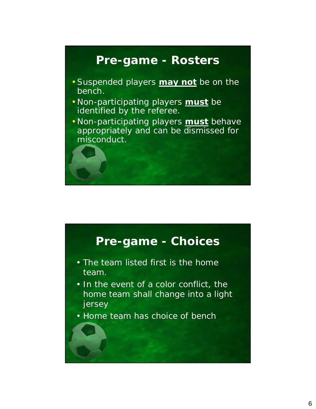## **Pre-game - Rosters**

- •Suspended players *may not* be on the bench.
- Non-participating players *must* be identified by the referee.
- Non-participating players *must* behave appropriately and can be dismissed for misconduct.

## **Pre-game - Choices**

- The team listed first is the home team.
- In the event of a color conflict, the home team shall change into a light jersey
- Home team has choice of bench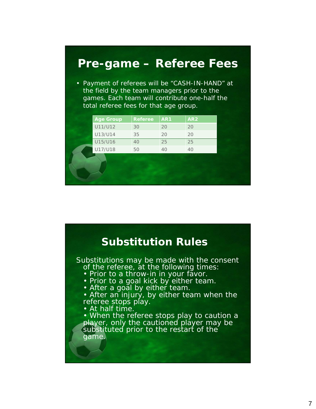# **Pre-game – Referee Fees** • Payment of referees will be "CASH-IN-HAND" at the field by the team managers prior to the games. Each team will contribute one-half the total referee fees for that age group. Age Group Referee AR1 AR2 U11/U12 30 20 20 U13/U14 35 20 20 U15/U16 40 25 25 U17/U18 50 40 40

#### **Substitution Rules** Substitutions may be made with the consent of the referee, at the following times: • Prior to a throw-in in your favor. • Prior to a goal kick by either team. • After a goal by either team. • After an injury, by either team when the referee stops play. • At half time. • When the referee stops play to caution a player, only the cautioned player may be substituted prior to the restart of the game.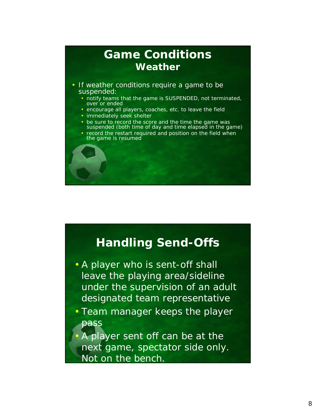### **Game Conditions Weather** • If weather conditions require a game to be suspended: • notify teams that the game is SUSPENDED, not terminated, over or ended • encourage all players, coaches, etc. to leave the field • immediately seek shelter • be sure to record the score and the time the game was suspended (both time of day and time elapsed in the game) • record the restart required and position on the field when the game is resumed

## **Handling Send-Offs**

- A player who is sent-off shall leave the playing area/sideline under the supervision of an adult designated team representative
- Team manager keeps the player pass
- A player sent off can be at the next game, spectator side only. Not on the bench.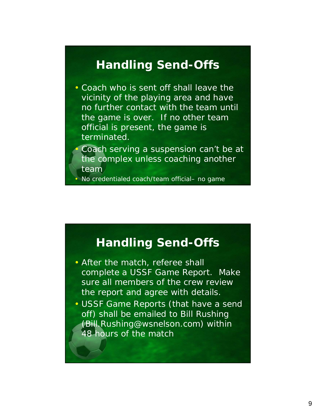## **Handling Send-Offs**

- Coach who is sent off shall leave the vicinity of the playing area and have no further contact with the team until the game is over. If no other team official is present, the game is terminated.
	- Coach serving a suspension can't be at the complex unless coaching another team

• No credentialed coach/team official– no game

## **Handling Send-Offs**

- After the match, referee shall complete a USSF Game Report. Make sure all members of the crew review the report and agree with details.
- USSF Game Reports (that have a send off) shall be emailed to Bill Rushing (Bill.Rushing@wsnelson.com) within 48 hours of the match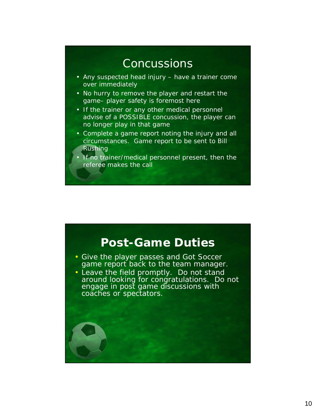## **Concussions**

- Any suspected head injury have a trainer come over immediately
- No hurry to remove the player and restart the game– player safety is foremost here
- If the trainer or any other medical personnel advise of a POSSIBLE concussion, the player can no longer play in that game
- Complete a game report noting the injury and all circumstances. Game report to be sent to Bill Rushing
- If no trainer/medical personnel present, then the referee makes the call

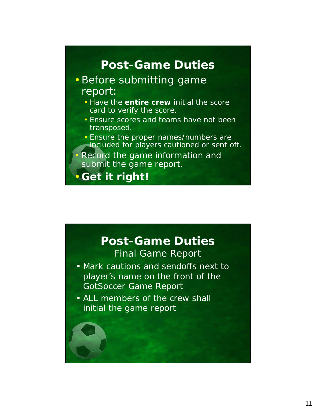# **Post-Game Duties**

### •Before submitting game report:

- Have the *entire crew* initial the score card to verify the score.
- Ensure scores and teams have not been transposed.
- Ensure the proper names/numbers are included for players cautioned or sent off.
- Record the game information and submit the game report.

•**Get it right!**

## **Post-Game Duties** Final Game Report

- Mark cautions and sendoffs next to player's name on the front of the GotSoccer Game Report
- ALL members of the crew shall initial the game report